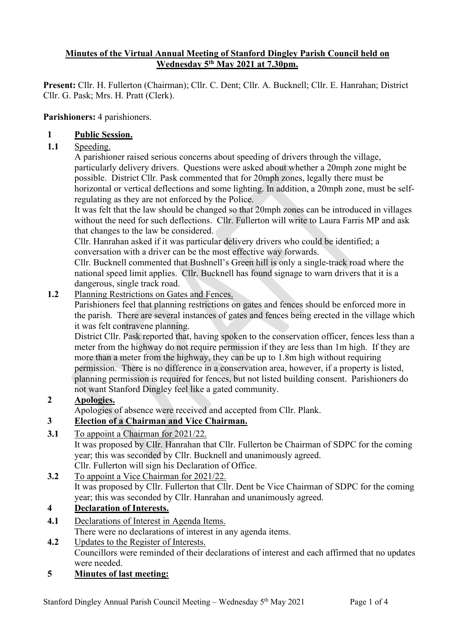### **Minutes of the Virtual Annual Meeting of Stanford Dingley Parish Council held on Wednesday 5th May 2021 at 7.30pm.**

**Present:** Cllr. H. Fullerton (Chairman); Cllr. C. Dent; Cllr. A. Bucknell; Cllr. E. Hanrahan; District Cllr. G. Pask; Mrs. H. Pratt (Clerk).

#### **Parishioners:** 4 parishioners.

#### **1 Public Session.**

1.1 Speeding.

A parishioner raised serious concerns about speeding of drivers through the village, particularly delivery drivers. Questions were asked about whether a 20mph zone might be possible. District Cllr. Pask commented that for 20mph zones, legally there must be horizontal or vertical deflections and some lighting. In addition, a 20mph zone, must be selfregulating as they are not enforced by the Police.

It was felt that the law should be changed so that 20mph zones can be introduced in villages without the need for such deflections. Cllr. Fullerton will write to Laura Farris MP and ask that changes to the law be considered.

Cllr. Hanrahan asked if it was particular delivery drivers who could be identified; a conversation with a driver can be the most effective way forwards.

Cllr. Bucknell commented that Bushnell's Green hill is only a single-track road where the national speed limit applies. Cllr. Bucknell has found signage to warn drivers that it is a dangerous, single track road.

**1.2** Planning Restrictions on Gates and Fences.

Parishioners feel that planning restrictions on gates and fences should be enforced more in the parish. There are several instances of gates and fences being erected in the village which it was felt contravene planning.

District Cllr. Pask reported that, having spoken to the conservation officer, fences less than a meter from the highway do not require permission if they are less than 1m high. If they are more than a meter from the highway, they can be up to 1.8m high without requiring permission. There is no difference in a conservation area, however, if a property is listed, planning permission is required for fences, but not listed building consent. Parishioners do not want Stanford Dingley feel like a gated community.

### **2 Apologies.**

Apologies of absence were received and accepted from Cllr. Plank.

## **3 Election of a Chairman and Vice Chairman.**

**3.1** To appoint a Chairman for 2021/22.

It was proposed by Cllr. Hanrahan that Cllr. Fullerton be Chairman of SDPC for the coming year; this was seconded by Cllr. Bucknell and unanimously agreed. Cllr. Fullerton will sign his Declaration of Office.

**3.2** To appoint a Vice Chairman for 2021/22.

It was proposed by Cllr. Fullerton that Cllr. Dent be Vice Chairman of SDPC for the coming year; this was seconded by Cllr. Hanrahan and unanimously agreed.

### **4 Declaration of Interests.**

- **4.1** Declarations of Interest in Agenda Items. There were no declarations of interest in any agenda items.
- **4.2** Updates to the Register of Interests. Councillors were reminded of their declarations of interest and each affirmed that no updates were needed.
- **5 Minutes of last meeting:**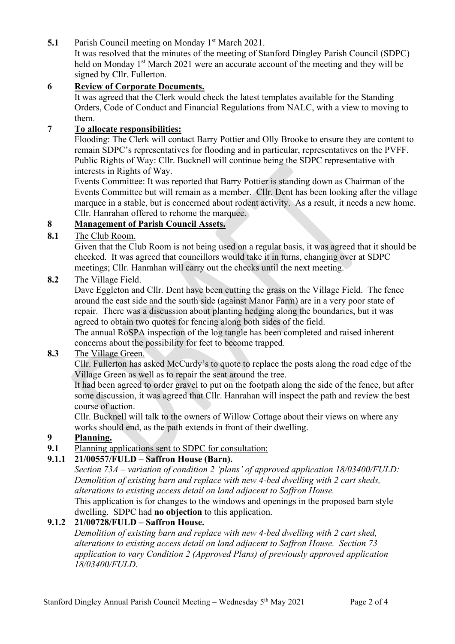**5.1** Parish Council meeting on Monday 1<sup>st</sup> March 2021.

It was resolved that the minutes of the meeting of Stanford Dingley Parish Council (SDPC) held on Monday 1<sup>st</sup> March 2021 were an accurate account of the meeting and they will be signed by Cllr. Fullerton.

## **6 Review of Corporate Documents.**

It was agreed that the Clerk would check the latest templates available for the Standing Orders, Code of Conduct and Financial Regulations from NALC, with a view to moving to them.

### **7 To allocate responsibilities:**

Flooding: The Clerk will contact Barry Pottier and Olly Brooke to ensure they are content to remain SDPC's representatives for flooding and in particular, representatives on the PVFF. Public Rights of Way: Cllr. Bucknell will continue being the SDPC representative with interests in Rights of Way.

Events Committee: It was reported that Barry Pottier is standing down as Chairman of the Events Committee but will remain as a member. Cllr. Dent has been looking after the village marquee in a stable, but is concerned about rodent activity. As a result, it needs a new home. Cllr. Hanrahan offered to rehome the marquee.

## **8 Management of Parish Council Assets.**

**8.1** The Club Room.

Given that the Club Room is not being used on a regular basis, it was agreed that it should be checked. It was agreed that councillors would take it in turns, changing over at SDPC meetings; Cllr. Hanrahan will carry out the checks until the next meeting.

### **8.2** The Village Field.

Dave Eggleton and Cllr. Dent have been cutting the grass on the Village Field. The fence around the east side and the south side (against Manor Farm) are in a very poor state of repair. There was a discussion about planting hedging along the boundaries, but it was agreed to obtain two quotes for fencing along both sides of the field.

The annual RoSPA inspection of the log tangle has been completed and raised inherent concerns about the possibility for feet to become trapped.

### **8.3** The Village Green.

Cllr. Fullerton has asked McCurdy's to quote to replace the posts along the road edge of the Village Green as well as to repair the seat around the tree.

It had been agreed to order gravel to put on the footpath along the side of the fence, but after some discussion, it was agreed that Cllr. Hanrahan will inspect the path and review the best course of action.

Cllr. Bucknell will talk to the owners of Willow Cottage about their views on where any works should end, as the path extends in front of their dwelling.

## **9 Planning.**

**9.1** Planning applications sent to SDPC for consultation:

## **9.1.1 21/00557/FULD – Saffron House (Barn).**

*Section 73A – variation of condition 2 'plans' of approved application 18/03400/FULD: Demolition of existing barn and replace with new 4-bed dwelling with 2 cart sheds, alterations to existing access detail on land adjacent to Saffron House.* This application is for changes to the windows and openings in the proposed barn style

dwelling. SDPC had **no objection** to this application.

## **9.1.2 21/00728/FULD – Saffron House.**

*Demolition of existing barn and replace with new 4-bed dwelling with 2 cart shed, alterations to existing access detail on land adjacent to Saffron House. Section 73 application to vary Condition 2 (Approved Plans) of previously approved application 18/03400/FULD.*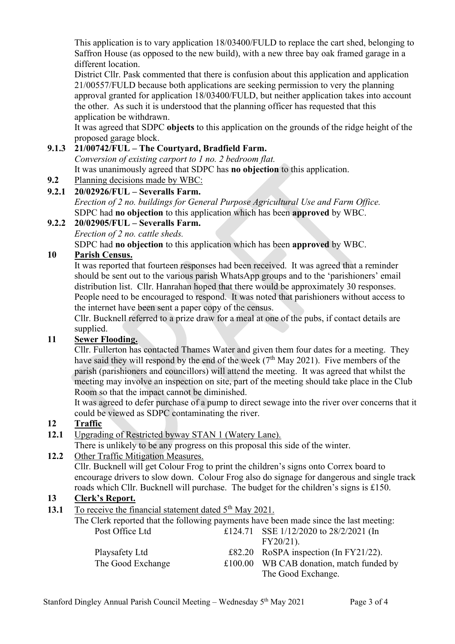This application is to vary application 18/03400/FULD to replace the cart shed, belonging to Saffron House (as opposed to the new build), with a new three bay oak framed garage in a different location.

District Cllr. Pask commented that there is confusion about this application and application 21/00557/FULD because both applications are seeking permission to very the planning approval granted for application 18/03400/FULD, but neither application takes into account the other. As such it is understood that the planning officer has requested that this application be withdrawn.

It was agreed that SDPC **objects** to this application on the grounds of the ridge height of the proposed garage block.

### **9.1.3 21/00742/FUL – The Courtyard, Bradfield Farm.**

*Conversion of existing carport to 1 no. 2 bedroom flat.*

It was unanimously agreed that SDPC has **no objection** to this application.

**9.2** Planning decisions made by WBC:

### **9.2.1 20/02926/FUL – Severalls Farm.**

*Erection of 2 no. buildings for General Purpose Agricultural Use and Farm Office.* SDPC had **no objection** to this application which has been **approved** by WBC.

### **9.2.2 20/02905/FUL – Severalls Farm.**

*Erection of 2 no. cattle sheds.*

SDPC had **no objection** to this application which has been **approved** by WBC.

### **10 Parish Census.**

It was reported that fourteen responses had been received. It was agreed that a reminder should be sent out to the various parish WhatsApp groups and to the 'parishioners' email distribution list. Cllr. Hanrahan hoped that there would be approximately 30 responses. People need to be encouraged to respond. It was noted that parishioners without access to the internet have been sent a paper copy of the census.

Cllr. Bucknell referred to a prize draw for a meal at one of the pubs, if contact details are supplied.

### **11 Sewer Flooding.**

Cllr. Fullerton has contacted Thames Water and given them four dates for a meeting. They have said they will respond by the end of the week  $(7<sup>th</sup>$  May 2021). Five members of the parish (parishioners and councillors) will attend the meeting. It was agreed that whilst the meeting may involve an inspection on site, part of the meeting should take place in the Club Room so that the impact cannot be diminished.

It was agreed to defer purchase of a pump to direct sewage into the river over concerns that it could be viewed as SDPC contaminating the river.

### **12 Traffic**

**12.1** Upgrading of Restricted byway STAN 1 (Watery Lane).

There is unlikely to be any progress on this proposal this side of the winter.

### **12.2** Other Traffic Mitigation Measures.

Cllr. Bucknell will get Colour Frog to print the children's signs onto Correx board to encourage drivers to slow down. Colour Frog also do signage for dangerous and single track roads which Cllr. Bucknell will purchase. The budget for the children's signs is £150.

# **13 Clerk's Report.**

**13.1** To receive the financial statement dated 5<sup>th</sup> May 2021.

|                   | The Clerk reported that the following payments have been made since the last meeting: |
|-------------------|---------------------------------------------------------------------------------------|
| Post Office Ltd   | £124.71 SSE $1/12/2020$ to $28/2/2021$ (In                                            |
|                   | $FY20/21$ ).                                                                          |
| Playsafety Ltd    | £82.20 RoSPA inspection (In FY21/22).                                                 |
| The Good Exchange | £100.00 WB CAB donation, match funded by                                              |
|                   | The Good Exchange.                                                                    |
|                   |                                                                                       |